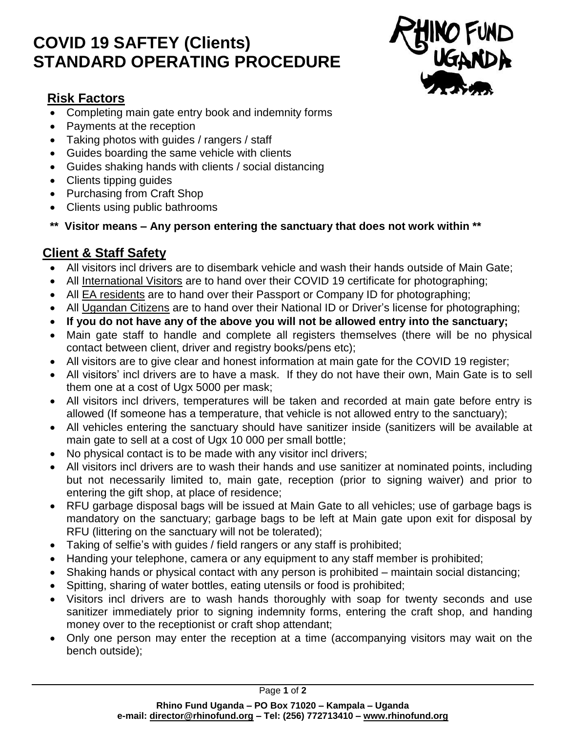# **COVID 19 SAFTEY (Clients) STANDARD OPERATING PROCEDURE**



### **Risk Factors**

- Completing main gate entry book and indemnity forms
- Payments at the reception
- Taking photos with guides / rangers / staff
- Guides boarding the same vehicle with clients
- Guides shaking hands with clients / social distancing
- Clients tipping quides
- Purchasing from Craft Shop
- Clients using public bathrooms
- **\*\* Visitor means – Any person entering the sanctuary that does not work within \*\***

## **Client & Staff Safety**

- All visitors incl drivers are to disembark vehicle and wash their hands outside of Main Gate;
- All International Visitors are to hand over their COVID 19 certificate for photographing;
- All EA residents are to hand over their Passport or Company ID for photographing;
- All Ugandan Citizens are to hand over their National ID or Driver's license for photographing;
- **If you do not have any of the above you will not be allowed entry into the sanctuary;**
- Main gate staff to handle and complete all registers themselves (there will be no physical contact between client, driver and registry books/pens etc);
- All visitors are to give clear and honest information at main gate for the COVID 19 register;
- All visitors' incl drivers are to have a mask. If they do not have their own, Main Gate is to sell them one at a cost of Ugx 5000 per mask;
- All visitors incl drivers, temperatures will be taken and recorded at main gate before entry is allowed (If someone has a temperature, that vehicle is not allowed entry to the sanctuary);
- All vehicles entering the sanctuary should have sanitizer inside (sanitizers will be available at main gate to sell at a cost of Ugx 10 000 per small bottle;
- No physical contact is to be made with any visitor incl drivers:
- All visitors incl drivers are to wash their hands and use sanitizer at nominated points, including but not necessarily limited to, main gate, reception (prior to signing waiver) and prior to entering the gift shop, at place of residence;
- RFU garbage disposal bags will be issued at Main Gate to all vehicles; use of garbage bags is mandatory on the sanctuary; garbage bags to be left at Main gate upon exit for disposal by RFU (littering on the sanctuary will not be tolerated);
- Taking of selfie's with guides / field rangers or any staff is prohibited;
- Handing your telephone, camera or any equipment to any staff member is prohibited;
- Shaking hands or physical contact with any person is prohibited maintain social distancing;
- Spitting, sharing of water bottles, eating utensils or food is prohibited;
- Visitors incl drivers are to wash hands thoroughly with soap for twenty seconds and use sanitizer immediately prior to signing indemnity forms, entering the craft shop, and handing money over to the receptionist or craft shop attendant;
- Only one person may enter the reception at a time (accompanying visitors may wait on the bench outside);